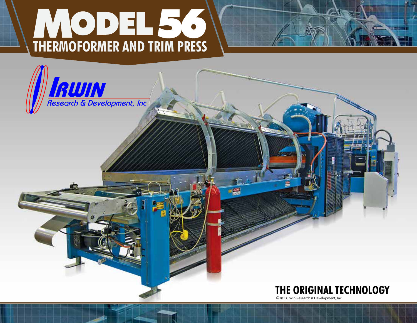## **THERMOFORMER AND TRIM PRESS**





©2013 Irwin Research & Development, Inc.